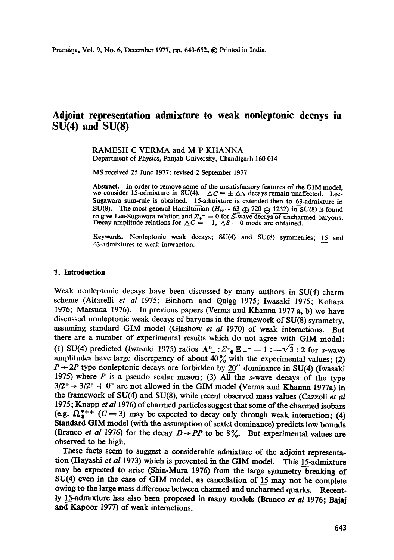# **Adjoint representation admixture to weak nonleptonic decays in SU(4) and SU(8)**

RAMESH C VERMA and M P KHANNA Department of Physics, Panjab University, Chandigarh 160 014

MS received 25 June 1977; revised 2 September 1977

Abstract. In order to remove some of the unsatisfactory features of the GIM model, we consider 15-admixture in SU(4).  $\Delta C = \pm \Delta S$  decays remain unaffected. Lee-Sugawara sum-rule is obtained. 15-admixture is extended then to 63-admixture in SU(8). The most general Hamiltonian  $(H_w \sim 63 \oplus 720 \oplus 1232)$  in SU(8) is found to give Lee-Sugawara relation and  $\Sigma_{+}{}^{+}=0$  for  $S$ -wave decays of uncharmed baryons. Decay amplitude relations for  $\Delta C = -1$ ,  $\Delta S = 0$  mode are obtained.

**Keywords.** Nonleptonic weak decays; SU(4) and SU(8) symmetries; 15 and 63-admixtures to weak interaction.

#### **1. Introduction**

Weak nonleptonic decays have been discussed by many authors in SU(4) charm scheme (Altarelli et al 1975; Einhorn and Quigg 1975; Iwasaki 1975; Kohara 1976; Matsuda 1976). In previous papers (Verma and Khanna 1977 a, b) we have discussed nonleptonic weak decays of baryons in the framework of SU(8) symmetry, assuming standard GIM model (Glashow *et al* 1970) of weak interactions. But there are a number of experimental results which do not agree with GIM model: (1) SU(4) predicted (Iwasaki 1975) ratios  $\Lambda^0$  :  $\Sigma^+$ <sub>0</sub>  $\Xi^-$  = 1 :  $-\sqrt{3}$  : 2 for s-wave amplitudes have large discrepancy of about  $40\%$  with the experimental values; (2)  $P \rightarrow 2P$  type nonleptonic decays are forbidden by 20" dominance in SU(4) (Iwasaki 1975) where P is a pseudo scalar meson; (3) All the s-wave decays of the type  $3/2^+$   $\rightarrow$  3/2<sup>+</sup>  $+$  0<sup>-</sup> are not allowed in the GIM model (Verma and Khanna 1977a) in the framework of SU(4) and SU(8), while recent observed mass values (Cazzoli *et al*  1975; Knapp *et al* 1976) of charmed particles suggest that some of the charmed isobars (e.g.  $\Omega_8^{*++}$  (C = 3) may be expected to decay only through weak interaction; (4) Standard GIM model (with the assumption of sextet dominance) predicts low bounds (Branco *et al 1976*) for the decay  $D \rightarrow PP$  to be 8%. But experimental values are observed to be high.

These facts seem to suggest a considerable admixture of the adjoint representation (Hayashi et al 1973) which is prevented in the GIM model. This 15-admixture may be expected to arise (Shin-Mura 1976) from the large symmetry breaking of SU(4) even in the case of GIM model, as cancellation of 15 may not be complete owing to the large mass difference between charmed and uncharmed quarks. Recently l\_\_\_%admixture has also been proposed in many models (Braneo *et al* 1976; Bajaj and Kapoor 1977) of weak interactions.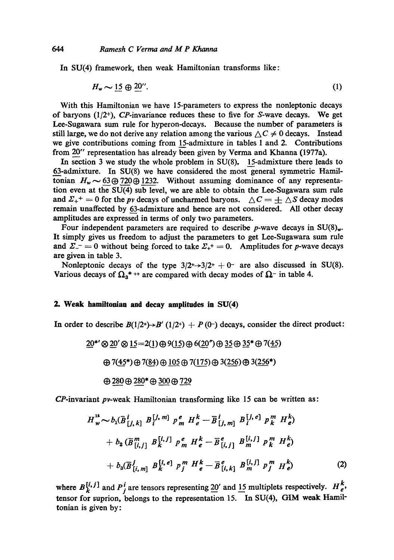In SU(4) framework, then weak Hamiltonian transforms like:

$$
H_w \sim 15 \oplus 20^{\prime\prime}.
$$

With this Hamiltonian we have 15-parameters to express the nonleptonic decays of baryons  $(1/2^+)$ , CP-invariance reduces these to five for S-wave decays. We get Lee-Sugawara sum rule for hyperon-decays. Because the number of parameters is still large, we do not derive any relation among the various  $\Delta C \neq 0$  decays. Instead we give contributions coming from 15-admixture in tables 1 and 2. Contributions from 20" representation has already been given by Verma and Khanna (1977a).

In section 3 we study the whole problem in SU(8). 15-admixture there leads to 63-admixture. In SU(8) we have considered the most general symmetric Hamiltonian  $H_w \sim 63\oplus 720\oplus 1232$ . Without assuming dominance of any representation even at the SU(4) sub level, we are able to obtain the Lee-Sugawara sum rule and  $\Sigma_{+}^{+} = 0$  for the *pv* decays of uncharmed baryons.  $\Delta C = \pm \Delta S$  decay modes remain unaffected by 63-admixture and hence are not considered. All other decay amplitudes are expressed in terms of only two parameters.

Four independent parameters are required to describe *p*-wave decays in  $SU(8)_{\text{w}}$ . It simply gives us freedom to adjust the parameters to get Lee-Sugawara sum rule and  $\Sigma^{-} = 0$  without being forced to take  $\Sigma_{+}^{+} = 0$ . Amplitudes for p-wave decays are given in table 3.

Nonleptonic decays of the type  $3/2^+ \rightarrow 3/2^+ + 0^-$  are also discussed in SU(8). Various decays of  $\Omega_3$ <sup>\*</sup> ++ are compared with decay modes of  $\Omega$ <sup>-</sup> in table 4.

### 2. Weak hamiltonian and decay amplitudes in SU(4)

In order to describe  $B(1/2^+) \rightarrow B'(1/2^+) + P(0^-)$  decays, consider the direct product:

 $20^{*}$ '  $\otimes$  20'  $\otimes$  15 = 2(1)  $\oplus$  9(15)  $\oplus$  6(20")  $\oplus$  35  $\oplus$  35\*  $\oplus$  7(45)  $\oplus$  7(45\*)  $\oplus$  7(84)  $\oplus$  105  $\oplus$  7(175)  $\oplus$  3(256)  $\oplus$  3(256\*)  $\oplus$  280  $\oplus$  280\*  $\oplus$  300  $\oplus$  729

CP-invariant pv-weak Hamiltonian transforming like 15 can be written as:

$$
H_w^{\text{is}} \sim b_1(\bar{B}_{[j,k]}^i \bar{B}_i^{[j,m]} P_m^e H_e^k - \bar{B}_{[j,m]}^i B_i^{[j,e]} P_k^m H_e^k) + b_2(\bar{B}_{[i,j]}^m B_k^{[i,j]} P_m^e H_e^k - \bar{B}_{[i,j]}^e B_m^{[i,j]} P_m^m H_e^k) + b_3(\bar{B}_{[i,m]}^j B_k^{[i,e]} P_j^m H_e^k - \bar{B}_{[i,k]}^e B_m^{[i,j]} P_j^m H_e^k)
$$
(2)

where  $B_k^{[i, j]}$  and  $P_j^i$  are tensors representing 20' and 15 multiplets respectively.  $H_e^k$ , tensor for suprion, belongs to the representation 15. In SU(4), GIM weak Hamil tonian is given by: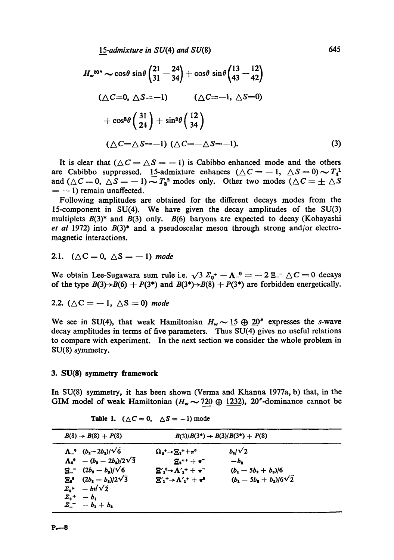*15-admixture in* SU(4) and SU(8) 645

$$
H_{w}^{20''} \sim \cos\theta \sin\theta \begin{pmatrix} 21 & -24 \\ 31 & -34 \end{pmatrix} + \cos\theta \sin\theta \begin{pmatrix} 13 & -12 \\ 43 & -42 \end{pmatrix}
$$
  

$$
(\triangle C=0, \triangle S=-1) \qquad (\triangle C=-1, \triangle S=0)
$$
  

$$
+\cos^{2}\theta \begin{pmatrix} 31 \\ 24 \end{pmatrix} + \sin^{2}\theta \begin{pmatrix} 12 \\ 34 \end{pmatrix}
$$
  

$$
(\triangle C=\triangle S=-1) (\triangle C=-\triangle S=-1).
$$
 (3)

It is clear that  $(\triangle C = \triangle S = -1)$  is Cabibbo enhanced mode and the others are Cabibbo suppressed. 15-admixture enhances  $(\triangle C = -1, \triangle S = 0) \sim T_4$ and  $(\triangle C = 0, \triangle S = -1) \sim T_3^2$  modes only. Other two modes  $(\triangle C = \pm \triangle S)$  $= -1$ ) remain unaffected.

Following amplitudes are obtained for the different decays modes from the 15-component in SU(4). We have given the decay amplitudes of the SU(3) multiplets  $B(3)$ \* and  $B(3)$  only.  $B(6)$  baryons are expected to decay (Kobayashi *et al* 1972) into  $B(3)^*$  and a pseudoscalar meson through strong and/or electromagnetic interactions.

2.1. 
$$
(\triangle C = 0, \triangle S = -1)
$$
 mode

We obtain Lee-Sugawara sum rule i.e.  $\sqrt{3} \Sigma_0^+ - \Lambda_-^0 = -2 \Xi^- \Delta C = 0$  decays of the type  $B(3) \rightarrow B(6) + P(3^*)$  and  $B(3^*) \rightarrow B(8) + P(3^*)$  are forbidden energetically.

2.2. 
$$
(\triangle C = -1, \triangle S = 0) \text{ mode}
$$

We see in SU(4), that weak Hamiltonian  $H_w \sim 15 \oplus 20''$  expresses the s-wave decay amplitudes in terms of five parameters. Thus SU(4) gives no useful relations to compare with experiment. In the next section we consider the whole problem in SU(8) symmetry.

#### **3. SU(8) symmetry framework**

In SU(8) symmetry, it has been shown (Verma and Khanna 1977a, b) that, in the GIM model of weak Hamiltonian  $(H_w \sim 720 \oplus 1232)$ , 20"-dominance cannot be

| $B(8) \rightarrow B(8) + P(8)$                                                                                                                                                                                                                                                        | $B(3)/B(3^*) \rightarrow B(3)/B(3^*) + P(8)$                                                                                                                                                                                                                                  |                                                                                     |  |
|---------------------------------------------------------------------------------------------------------------------------------------------------------------------------------------------------------------------------------------------------------------------------------------|-------------------------------------------------------------------------------------------------------------------------------------------------------------------------------------------------------------------------------------------------------------------------------|-------------------------------------------------------------------------------------|--|
| $\Lambda_{-}^{\circ}$ $(b_{2}-2b_{3})/\sqrt{6}$<br>$\Lambda_0^*$ – $(b_2 - 2b_2)/2\sqrt{3}$<br>$\Xi$ (2b <sub>2</sub> - b <sub>2</sub> )/ $\sqrt{6}$<br>$E_0^0$ $(2b_1 - b_2)/2\sqrt{3}$<br>$\Sigma_{\rm b}^+$ - $b\sqrt{2}$<br>$\Sigma_{+}$ +<br>$-b1$<br>$\Sigma^{-}$ - $b_1 + b_2$ | $\Omega_{\mathbf{a}}^{\mathbf{+}} \rightarrow \Xi_{\mathbf{a}}^{\mathbf{+}} + \pi^{\mathbf{0}}$<br>$E_{1}$ ++ + $\pi$ <sup>-+</sup><br>$\mathbf{E}'_1^0 \rightarrow \Lambda'_1^+ + \pi^-$<br>$\mathbf{E}^{\prime}$ + $\rightarrow$ $\Lambda^{\prime}$ + $\pm$ $\pi^{\bullet}$ | $b_1/\sqrt{2}$<br>$-b2$<br>$(b_1 - 5b_1 + b_2)/6$<br>$(b_1 - 5b_1 + b_2)/6\sqrt{2}$ |  |

|  |  | Table 1. $(\triangle C = 0, \triangle S = -1)$ mode |  |  |  |  |
|--|--|-----------------------------------------------------|--|--|--|--|
|--|--|-----------------------------------------------------|--|--|--|--|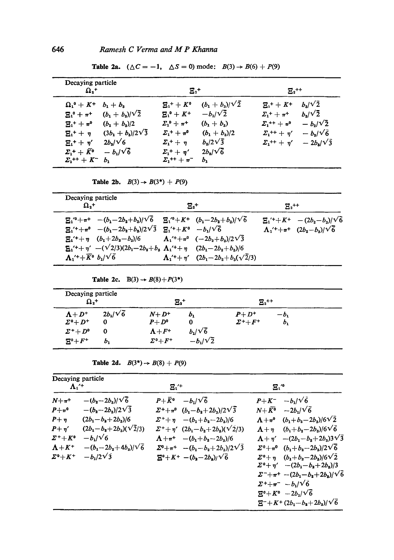**Table 2a.**  $(\triangle C = -1, \triangle S = 0)$  mode:  $B(3) \rightarrow B(6) + P(9)$ 

| $\mathbf{\Omega}_n$ +                     |                          | $\mathbf{E}^{~+}$       |                        | $\mathbf{E}_2$ ++           |                      |
|-------------------------------------------|--------------------------|-------------------------|------------------------|-----------------------------|----------------------|
| $\Omega_{1}^{0} + K^{+}$                  | $b_1 + b_3$              | $E_{1}^{+}+K^{0}$       | $(b_1 + b_3)/\sqrt{2}$ | $E_1$ + + K+                | $b_{3}/\sqrt{2}$     |
| $E_1^0 + \pi^+$                           | $(b_1 + b_3)/\sqrt{2}$   | $E_1^0 + K^+$           | $-b_1/\sqrt{2}$        | $\Sigma_{1}^{+} + \pi^{+}$  | $b_{\rm s}/\sqrt{2}$ |
| $E_{1}$ + + $\pi^{0}$                     | $(b_1 + b_2)/2$          | $\Sigma_1^0 + \pi^+$    | $(b_1 + b_3)$          | $\Sigma_{1}^{++} + \pi^{0}$ | $-b_2/\sqrt{2}$      |
| $E_{1}$ + + $\eta$                        | $(3b_1 + b_3)/2\sqrt{3}$ | $\Sigma_1^+ + \pi^0$    | $(b_1 + b_3)/2$        | $\Sigma_{1}^{++} + \eta'$   | $-b_{s}/\sqrt{6}$    |
| $E_{1}$ + + $\eta'$                       | $2b_3/\sqrt{6}$          | $\Sigma_{1}$ + + $\eta$ | $b_3/2\sqrt{3}$        | $\Sigma_{1}^{++} + \eta'$   | $-2b_s/\sqrt{3}$     |
| $\Sigma_1^+ + \bar{K}^0$                  | $-b_1/\sqrt{6}$          | $\Sigma_1^+$ + $\eta'$  | $2b_s/\sqrt{6}$        |                             |                      |
| $\Sigma_1$ <sup>++</sup> + K <sup>-</sup> | b <sub>1</sub>           | $\Sigma_1^{++} + \pi^-$ | ь.                     |                             |                      |

**Table 2b.**  $B(3) \to B(3^*) + P(9)$ 

| Decaying particle<br>$\Omega_{2}$ +                                                                                                                                                                                                                                                                                                                                                                                          | $\mathbf{E}$ .+                                                                                                           | $E_{2}$ ++ |                                                                                                           |
|------------------------------------------------------------------------------------------------------------------------------------------------------------------------------------------------------------------------------------------------------------------------------------------------------------------------------------------------------------------------------------------------------------------------------|---------------------------------------------------------------------------------------------------------------------------|------------|-----------------------------------------------------------------------------------------------------------|
| $E_1^{\prime 0} + \pi^+$ $-(b_1 - 2b_2 + b_3)/\sqrt{6}$<br>$E_1' + \pi^0$ $-(b_1 - 2b_2 + b_3)/2\sqrt{3}$ $E_1' + K^0$ $-b_1/\sqrt{6}$<br>$\mathbf{E}_1' + \eta$ $(b_1 + 2b_2 - b_3)/6$ $\Lambda_1' + \pi^0$ $(-2b_2 + b_3)/2\sqrt{3}$<br>$\mathbf{E_1}^{\prime +} + \eta'$ $-(\sqrt{2/3})(2b_1 - 2b_2 + b_3)$ $\Lambda_1^{\prime +} + \eta$ $(2b_1 - 2b_2 + b_3)/6$<br>$\Lambda_1^{\prime +} + \overline{K}^0 b_1/\sqrt{6}$ | $E_1^{\prime 0} + K^+$ $(b_1 - 2b_2 + b_3)/\sqrt{6}$<br>$\Lambda_1'$ <sup>+</sup> + $\eta'$ $(2b_1-2b_2+b_3(\sqrt{2}/3))$ |            | $\Xi_1{}^{\prime +}+K^+$ $-(2b_2-b_3)/\sqrt{6}$<br>$\Lambda_1^{\prime +} + \pi^+$ $(2b_2 - b_3)/\sqrt{6}$ |

**Table 2c.**  $B(3) \rightarrow B(8) + P(3^*)$ 

| Decaying particle<br>$\Omega_{2}$ +                           |                      |                          | $\mathbf{E_2}^+$    | $E_{2}$ ++                                        |                 |
|---------------------------------------------------------------|----------------------|--------------------------|---------------------|---------------------------------------------------|-----------------|
| $A+D^+$<br>$\mathbf{\Sigma}^{\mathrm{o}} + \mathbf{\Sigma}^+$ | $2b_1/\sqrt{6}$<br>0 | $N+D^+$<br>$P+D^{\circ}$ | b <sub>1</sub><br>0 | $P+D^+$<br>$\mathbf{\Sigma}^{+} + \mathbf{F}^{+}$ | — b.<br>$b_{1}$ |
| $\Sigma^{+}+D^{0}$                                            | $\bf{0}$             | $\Lambda + F^+$          | $b_1/\sqrt{6}$      |                                                   |                 |
| $E^0 + F^+$                                                   | b <sub>1</sub>       | $\Sigma^{0} + F^{+}$     | $-b_1/\sqrt{2}$     |                                                   |                 |

**Table 2d.**  $B(3^*) \to B(8) + P(9)$ 

| Decaying particle<br>$\Lambda$ <sup>+</sup>                                                                                                     |                                                                                                                                                                                 | $E_1^{\prime+}$                                                                                                                                                                                                                                                                                                                                                        | $\mathbf{E}$ ."                                                                                                                                                                                                                                                                                                                                                                                                                                                                                                                                                                                                                    |  |
|-------------------------------------------------------------------------------------------------------------------------------------------------|---------------------------------------------------------------------------------------------------------------------------------------------------------------------------------|------------------------------------------------------------------------------------------------------------------------------------------------------------------------------------------------------------------------------------------------------------------------------------------------------------------------------------------------------------------------|------------------------------------------------------------------------------------------------------------------------------------------------------------------------------------------------------------------------------------------------------------------------------------------------------------------------------------------------------------------------------------------------------------------------------------------------------------------------------------------------------------------------------------------------------------------------------------------------------------------------------------|--|
| $N+\pi^+$<br>$P + \pi^0$<br>$P + \eta$<br>$P + \eta'$<br>$\Sigma^{+}+K^{0}$<br>$\Lambda + K$ <sup>+</sup><br>$\mathbf{\Sigma}^0 + \mathbf{K}^+$ | $-(b_2-2b_3)/\sqrt{6}$<br>$-(b_2-2b_3)/2\sqrt{3}$<br>$(2b_1-b_2+2b_3)/6$<br>$(2b_1-b_2+2b_3)(\sqrt{2}/3)$<br>$-b_1/\sqrt{6}$<br>$-(b_1-2b_2+4b_3)/\sqrt{6}$<br>$-b_1/2\sqrt{3}$ | $-b_1/\sqrt{6}$<br>$P + \bar{K}^{\mathbf{0}}$<br>$\Sigma^{+}+\pi^{0}$ $(b_{1}-b_{2}+2b_{3})/2\sqrt{3}$<br>$\sum_{1}^{+} + \eta$ $-(b_1 + b_2 - 2b_3)/6$<br>$\Sigma^+ + \eta'$ $(2b_1 - b_2 + 2b_3)(\sqrt{2}/3)$<br>$\Lambda + \pi^+$ $-(b_1 + b_2 - 2b_3)/6$<br>$\Sigma^{0} + \pi^{+} - (b_{1} - b_{2} + 2b_{3})/2\sqrt{3}$<br>$\Xi^0 + K^+$ - $(b_2 - 2b_2)/\sqrt{6}$ | $-b_1/\sqrt{6}$<br>$P+K^-$<br>$N + \bar{K^0}$ $-2b_1/\sqrt{6}$<br>$(b_1+b_2-2b_3)/6\sqrt{2}$<br>$\Lambda + \pi^0$<br>$(b_1+b_2-2b_3)/6\sqrt{6}$<br>$\Lambda + \eta$<br>$\Lambda + \eta'$ $-(2b_1 - b_2 + 2b_3)3\sqrt{3}$<br>$\Sigma^{0} + \pi^{0}$ $(b_{1} + b_{2} - 2b_{3})/2\sqrt{6}$<br>$\Sigma^{0} + \eta$ $(b_{1} + b_{2} - 2b_{3})/6\sqrt{2}$<br>$\sum^{0} + \eta'$ $-(2b_1 - b_2 + 2b_3)/3$<br>$\sum$ <sup>-</sup> + $\pi$ <sup>+</sup> -(2b <sub>1</sub> -b <sub>2</sub> +2b <sub>3</sub> )/ $\sqrt{6}$<br>$\Sigma^+ + \pi^ -b_1/\sqrt{6}$<br>$E^0 + K^0 - 2b_1/\sqrt{6}$<br>$\Xi^{-}+K^{+}(2b_{1}-b_{2}+2b_{3})/\sqrt{6}$ |  |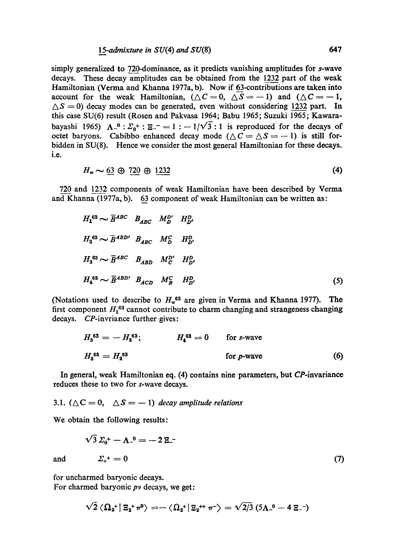## *15-admixture in* SU(4) *and* SU(8) 647

simply generalized to 720-dominance, as it predicts vanishing amplitudes for s-wave decays. These decay amplitudes can be obtained from the 1232 part of the weak Hamiltonian (Verma and Khanna 1977a, b). Now if 63-contributions are taken into account for the weak Hamiltonian,  $(\triangle C=0, \triangle S=-1)$  and  $(\triangle C=-1,$  $\Delta S = 0$ ) decay modes can be generated, even without considering 1232 part. In this case SU(6) result (Rosen and Pakvasa 1964; Babu 1965; Suzuki 1965; Kawarabayashi 1965)  $\Lambda^{-0}$  :  $\Sigma_0^+$  :  $\Sigma^{-} = 1$  :  $-1/\sqrt{3}$  : 1 is reproduced for the decays of octet baryons. Cabibbo enhanced decay mode  $(\triangle C = \triangle S = -1)$  is still forbidden in SU(8). Hence we consider the most general Hamiltonian for these decays. i.e.

$$
H_w \sim 63 \oplus 720 \oplus 1232 \tag{4}
$$

720 and 1232 components of weak Hamiltonian have been described by Verma and Khanna (1977a, b). 63 component of weak Hamiltonian can be written as:

$$
H_1^{63} \sim \overline{B}^{ABC} \quad B_{ABC} \quad M_D^{D'} \quad H_{D'}^D
$$
\n
$$
H_2^{63} \sim \overline{B}^{ABD'} \quad B_{ABC} \quad M_D^C \quad H_{D'}^D
$$
\n
$$
H_3^{63} \sim \overline{B}^{ABC} \quad B_{ABD} \quad M_C^{D'} \quad H_{D'}^D
$$
\n
$$
H_4^{63} \sim \overline{B}^{ABD'} \quad B_{ACD} \quad M_B^C \quad H_{D'}^D
$$
\n
$$
(5)
$$

(Notations used to describe to  $H_w^{63}$  are given in Verma and Khanna 1977). The first component  $H_1$ <sup>63</sup> cannot contribute to charm changing and strangeness changing decays. CP-invriance further gives:

$$
H_3^{63} = -H_2^{63}; \t H_4^{63} = 0 \t for s-waveH_3^{63} = H_2^{63}
$$
 (6)

In general, weak Hamiltonian eq. (4) contains nine parameters, but CP-invariance reduces these to two for s-wave decays.

3.1. 
$$
(\triangle C = 0, \triangle S = -1)
$$
 decay amplitude relations

We obtain the following results:

$$
\sqrt{3}\,\varSigma_0^+ - \Lambda_{-}^0 = -2\,\Xi_{-}^-\n\tag{7}
$$
 and 
$$
\varSigma_{+}^+ = 0
$$

for uncharmed baryonic decays. For charmed baryonic *pv* decays, we get:

$$
\sqrt{2}\left\langle \Omega_{2}^{+}\right|\Xi_{2}^{+}\pi^{0}\right\rangle = -\left\langle \Omega_{2}^{+}\right|\Xi_{2}^{++}\pi^{-}\right\rangle = \sqrt{2/3} \left(5\Lambda_{-}^{0} - 4\Xi_{-}^{-}\right)
$$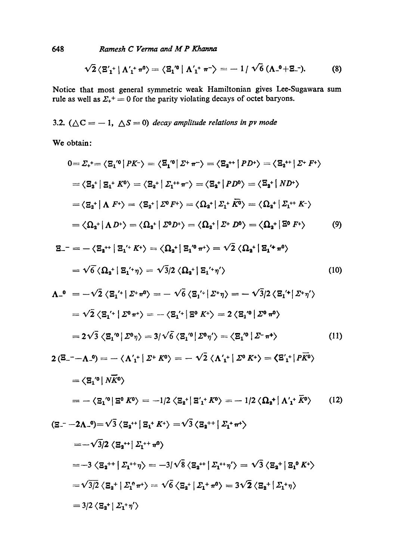*Ramesh C Verma and M P Khanna* 

$$
\sqrt{2} \langle \mathbf{E}_{1}^{\prime +} | \Lambda_{1}^{\prime +} \pi^{0} \rangle = \langle \mathbf{E}_{1}^{\prime 0} | \Lambda_{1}^{\prime +} \pi^{-} \rangle = -1 / \sqrt{6} (\Lambda_{-}^{0} + \Xi_{-}^{-}). \tag{8}
$$

Notice that most general symmetric weak Hamiltonian gives Lee-Sugawara sum rule as well as  $\Sigma_{+}^{+} = 0$  for the parity violating decays of octet baryons.

3.2.  $(\triangle C = -1, \triangle S = 0)$  *decay amplitude relations in pv mode* 

We obtain:

$$
0 = \Sigma_{+}^{+} = \langle \Xi_{1}^{'0} | PK^{-} \rangle = \langle \Xi_{1}^{'0} | \Sigma^{+} \pi^{-} \rangle = \langle \Xi_{2}^{++} | PD^{+} \rangle = \langle \Xi_{2}^{++} | \Sigma^{+} F^{+} \rangle
$$
  
\n
$$
= \langle \Xi_{2}^{+} | \Xi_{1}^{+} K^{0} \rangle = \langle \Xi_{2}^{+} | \Sigma_{1}^{++} \pi^{-} \rangle = \langle \Xi_{2}^{+} | PD^{0} \rangle = \langle \Xi_{2}^{+} | ND^{+} \rangle
$$
  
\n
$$
= \langle \Xi_{2}^{+} | \Lambda F^{+} \rangle = \langle \Xi_{2}^{+} | \Sigma^{0} F^{+} \rangle = \langle \Omega_{2}^{+} | \Sigma_{1}^{+} \overline{K^{0}} \rangle = \langle \Omega_{2}^{+} | \Sigma_{1}^{+} K^{-} \rangle
$$
  
\n
$$
= \langle \Omega_{2}^{+} | \Lambda D^{+} \rangle = \langle \Omega_{2}^{+} | \Sigma^{0} D^{+} \rangle = \langle \Omega_{2}^{+} | \Sigma^{+} D^{0} \rangle = \langle \Omega_{2}^{+} | \Sigma^{0} F^{+} \rangle
$$
 (9)

$$
\mathbf{E}_{-} = -\langle \mathbf{E}_{\mathbf{a}}^{++} | \mathbf{E}_{\mathbf{1}}^{\prime+} K^{+} \rangle = \langle \mathbf{\Omega}_{\mathbf{a}}^{+} | \mathbf{E}_{\mathbf{1}}^{\prime0} \pi^{+} \rangle = \sqrt{2} \langle \mathbf{\Omega}_{\mathbf{a}}^{+} | \mathbf{E}_{\mathbf{1}}^{\prime+} \pi^{0} \rangle
$$
  
=  $\sqrt{6} \langle \mathbf{\Omega}_{\mathbf{a}}^{+} | \mathbf{E}_{\mathbf{1}}^{\prime+} \eta \rangle = \sqrt{3} \langle \mathbf{\Omega}_{\mathbf{a}}^{+} | \mathbf{E}_{\mathbf{1}}^{\prime+} \eta^{\prime} \rangle$  (10)

$$
\Lambda_{-}^{0} = -\sqrt{2} \langle \mathbf{E}_{1}^{\prime+} | \Sigma^{+} \pi^{0} \rangle = -\sqrt{6} \langle \mathbf{E}_{1}^{\prime+} | \Sigma^{+} \eta \rangle = -\sqrt{3}/2 \langle \mathbf{E}_{1}^{\prime+} | \Sigma^{+} \eta' \rangle
$$
  
\n
$$
= \sqrt{2} \langle \mathbf{E}_{1}^{\prime+} | \Sigma^{0} \pi^{+} \rangle = -\langle \mathbf{E}_{1}^{\prime+} | \Sigma^{0} K^{+} \rangle = 2 \langle \mathbf{E}_{1}^{\prime 0} | \Sigma^{0} \pi^{0} \rangle
$$
  
\n
$$
= 2\sqrt{3} \langle \mathbf{E}_{1}^{\prime 0} | \Sigma^{0} \eta \rangle = 3/\sqrt{6} \langle \mathbf{E}_{1}^{\prime 0} | \Sigma^{0} \eta' \rangle = \langle \mathbf{E}_{1}^{\prime 0} | \Sigma^{-} \pi^{+} \rangle
$$
 (11)

$$
2\left(\mathbf{E}_{-} - \mathbf{\Lambda}_{-}\mathbf{0}\right) = -\left\langle \mathbf{\Lambda}_{1}^{\prime +} \mid \mathbf{\Sigma}^{\dagger} \mathbf{\ K}^{0} \right\rangle = -\sqrt{2} \left\langle \mathbf{\Lambda}_{1}^{\prime +} \mid \mathbf{\Sigma}^{0} \mathbf{\ K}^{\dagger} \right\rangle = \left\langle \mathbf{\Xi}_{1}^{\prime +} \mid \mathbf{\Lambda} \mathbf{\Lambda}^{0} \right\rangle
$$

$$
= \left\langle \mathbf{\Xi}_{1}^{\prime 0} \mid \mathbf{\Lambda} \mathbf{\overline{K}}^{0} \right\rangle
$$

$$
= -\left\langle \mathbf{\Xi}_{1}^{\prime 0} \mid \mathbf{\Xi}^{0} \mathbf{\ K}^{0} \right\rangle = -\frac{1}{2} \left\langle \mathbf{\Xi}_{2}^{\dagger} \mid \mathbf{\Xi}_{1}^{\prime +} \mathbf{\overline{K}}^{0} \right\rangle = -\frac{1}{2} \left\langle \mathbf{\Omega}_{2}^{\dagger} \mid \mathbf{\Lambda}_{1}^{\prime +} \mathbf{\overline{K}}^{0} \right\rangle \tag{12}
$$

 $\frac{1}{2}$ 

$$
(E_{-} - 2\Lambda_{-} - 0) = \sqrt{3} \langle \Sigma_{2}^{++} | \Sigma_{1}^{+} K^{+} \rangle = \sqrt{3} \langle \Sigma_{2}^{++} | \Sigma_{1}^{+} \pi^{+} \rangle
$$
  
\n
$$
= -\sqrt{3}/2 \langle \Sigma_{2}^{++} | \Sigma_{1}^{++} \pi^{0} \rangle
$$
  
\n
$$
= -3 \langle \Sigma_{2}^{++} | \Sigma_{1}^{++} \eta \rangle = -3/\sqrt{8} \langle \Sigma_{2}^{++} | \Sigma_{1}^{++} \eta^{+} \rangle = \sqrt{3} \langle \Sigma_{2}^{+} | \Sigma_{1}^{0} K^{+} \rangle
$$
  
\n
$$
= \sqrt{3}/2 \langle \Sigma_{2}^{+} | \Sigma_{1}^{0} \pi^{+} \rangle = \sqrt{6} \langle \Sigma_{2}^{+} | \Sigma_{1}^{+} \pi^{0} \rangle = 3\sqrt{2} \langle \Sigma_{2}^{+} | \Sigma_{1}^{+} \eta \rangle
$$
  
\n
$$
= 3/2 \langle \Sigma_{2}^{+} | \Sigma_{1}^{+} \eta^{+} \rangle
$$

**648**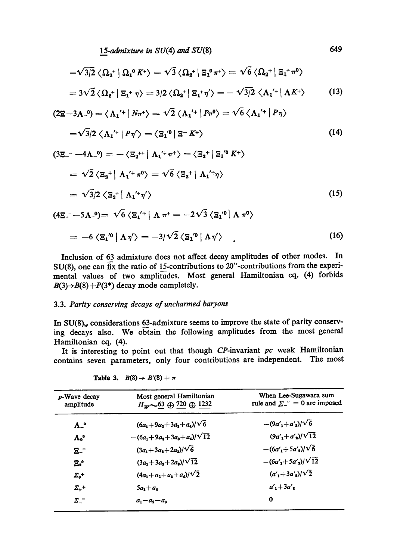*15-admixture in* SU(4) and SU(8) 649

$$
=\sqrt{3/2}\langle\Omega_{2}^{+}|\Omega_{1}^{0}K^{+}\rangle=\sqrt{3}\langle\Omega_{2}^{+}|\Xi_{1}^{0}m^{+}\rangle=\sqrt{6}\langle\Omega_{2}^{+}|\Xi_{1}^{+}m^{0}\rangle
$$

$$
=3\sqrt{2}\langle\Omega_{2}^{+}|\Xi_{1}^{+}\eta\rangle=3/2\langle\Omega_{2}^{+}|\Xi_{1}^{+}\eta'\rangle=-\sqrt{3/2}\langle\Lambda_{1}^{+}|\Lambda K^{+}\rangle \qquad (13)
$$

$$
(2\Xi - 3\Lambda_{-}^{0}) = \langle \Lambda_{1}^{\prime +} | N\pi^{+} \rangle = \sqrt{2} \langle \Lambda_{1}^{\prime +} | P\pi^{0} \rangle = \sqrt{6} \langle \Lambda_{1}^{\prime +} | P\eta \rangle
$$

$$
=\sqrt{3}/2\left\langle \Lambda_{1}^{\prime+}\left|P\eta'\right\rangle \right\rangle =\left\langle \Xi_{1}^{\prime0}\left|\right.\Xi^{-}K^{+}\right\rangle \tag{14}
$$

$$
(3\mathbf{E}^{-} - 4\mathbf{\Lambda}_{-}^{0}) = -\langle \mathbf{E}_{2}^{+} | \mathbf{\Lambda}_{1}^{+} \pi^{+} \rangle = \langle \mathbf{E}_{2}^{+} | \mathbf{E}_{1}^{+} \pi^{+} \rangle
$$
  
=  $\sqrt{2} \langle \mathbf{E}_{2}^{+} | \mathbf{\Lambda}_{1}^{+} \pi^{0} \rangle = \sqrt{6} \langle \mathbf{E}_{2}^{+} | \mathbf{\Lambda}_{1}^{+} \eta \rangle$   
=  $\sqrt{3}/2 \langle \mathbf{E}_{2}^{+} | \mathbf{\Lambda}_{1}^{+} \eta' \rangle$  (15)

$$
(4\mathbf{E} - 5\Lambda^0) = \sqrt{6} \langle \mathbf{E_1}^{\prime +} | \Lambda \pi^+ = -2\sqrt{3} \langle \mathbf{E_1}^{\prime 0} | \Lambda \pi^0 \rangle
$$

$$
= -6 \langle \mathbf{E_1}^{\prime 0} | \Lambda \eta' \rangle = -3/\sqrt{2} \langle \mathbf{E_1}^{\prime 0} | \Lambda \eta' \rangle \qquad (16)
$$

Inclusion of 63 admixture does not affect decay amplitudes of other modes. In  $SU(8)$ , one can fix the ratio of 15-contributions to 20"-contributions from the experimental values of two amplitudes. Most general Hamiltonian eq. (4) forbids  $B(3) \rightarrow B(8) + P(3^*)$  decay mode completely.

## 3.3. *Parity conserving decays of uncharmed baryons*

In  $SU(8)_w$  considerations 63-admixture seems to improve the state of parity conserving decays also. We obtain the following amplitudes from the most general Hamiltonian eq. (4).

It is interesting to point out that though CP-invariant *pc* weak Hamiltonian contains seven parameters, only four contributions are independent. The most

| p-Wave decay<br>amplitude | Most general Hamiltonian<br>$H_W \sim 63 \oplus 720 \oplus 1232$ | When Lee-Sugawara sum<br>rule and $\Sigma^{-} = 0$ are imposed |
|---------------------------|------------------------------------------------------------------|----------------------------------------------------------------|
| $\mathbf{A}$ .            | $(6a_1+9a_2+3a_3+a_4)/\sqrt{6}$                                  | $-(9a'_1+a'_2)/\sqrt{6}$                                       |
| $\Lambda$ <sup>o</sup>    | $-(6a_1+9a_2+3a_3+a_4)/\sqrt{12}$                                | $(9a'_1+a'_2)/\sqrt{12}$                                       |
| $B_$                      | $(3a_1+3a_2+2a_3)/\sqrt{6}$                                      | $-(6a'_1+5a'_2)/\sqrt{6}$                                      |
| Ξ.,                       | $(3a_1+3a_2+2a_2)/\sqrt{12}$                                     | $-(6a'_1+5a'_2)/\sqrt{12}$                                     |
| $\Sigma_{\rm a}$ +        | $(4a_1+a_2+a_3+a_4)/\sqrt{2}$                                    | $(a'_1 + 3a'_2)/\sqrt{2}$                                      |
| $\Sigma_{+}$ +            | $5a_1+a_4$                                                       | $a'_1 + 3a'_2$                                                 |
| Σ-                        | $a_1 - a_2 - a_3$                                                | 0                                                              |

**Table 3.** 
$$
B(8) \to B'(8) + \pi
$$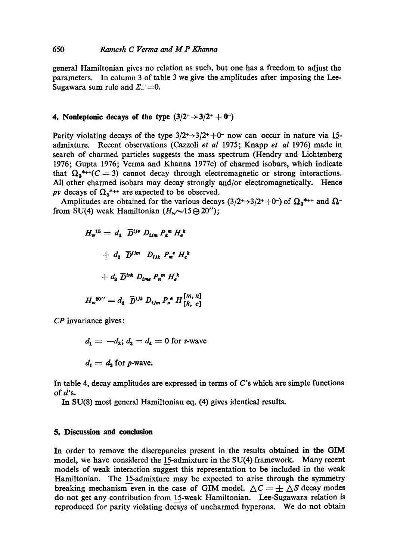#### 650 *Ramesh C Verma and M P Khanna*

general Hamiltonian gives no relation as such, but one has a freedom to adjust the parameters. In column 3 of table 3 we give the amplitudes after imposing the Lee-Sugawara sum rule and  $\Sigma^{-}=0$ .

## **4. Nonleptonic decays of the type**  $(3/2^+ \rightarrow 3/2^+ + 0^-)$

Parity violating decays of the type  $3/2^+$ - $3/2^+$ +0<sup>-</sup> now can occur in nature via 15admixture. Recent observations (Cazzoli *et al* 1975; Knapp *et al* 1976) made in search of charmed particles suggests the mass spectrum (Hendry and Lichtenberg 1976; Gupta 1976; Verma and Khanna 1977c) of charmed isobars, which indicate that  $\Omega_{3}^{*++}(C = 3)$  cannot decay through electromagnetic or strong interactions. All other charmed isobars may decay strongly and/or electromagnetically. Hence *pv* decays of  $\Omega_3$ <sup>\*++</sup> are expected to be observed.

Amplitudes are obtained for the various decays (3/2+ $\rightarrow$ 3/2++0-) of  $\Omega_3$ \*++ and  $\Omega$ from SU(4) weak Hamiltonian  $(H_w \sim 15 \oplus 20'')$ ;

$$
H_w^{15} = d_1 \overline{D}^{i j e} D_{i j m} P_k^m H_e^k
$$

$$
+ d_2 \overline{D}^{i j m} D_{i j k} P_m^e H_e^k
$$

$$
+ d_3 \overline{D}^{i n k} D_{i m e} P_n^m H_e^k
$$

$$
H_w^{20''} = d_4 \overline{D}^{i j k} D_{i j m} P_n^e H_{[k, e]}^{[m, n]}
$$

*CP* invariance gives:

 $d_1 = -d_2$ ;  $d_3 = d_4 = 0$  for s-wave

 $d_1 = d_2$  for p-wave.

In table 4, decay amplitudes are expressed in terms of  $C$ 's which are simple functions of d's.

In SU(8) most general Hamiltonian eq. (4) gives identical results.

#### **5. Discussion and conclusion**

In order to remove the discrepancies present in the results obtained in the GIM model, we have considered the 15-admixture in the SU(4) framework. Many recent models of weak interaction suggest this representation to be included in the weak Hamiltonian. The 15-admixture may be expected to arise through the symmetry breaking mechanism even in the case of GIM model.  $\Delta C = \pm \Delta S$  decay modes do not get any contribution from 15-weak Hamiltonian. Lee-Sugawara relation is reproduced for parity violating decays of uncharmed hyperons. We do not obtain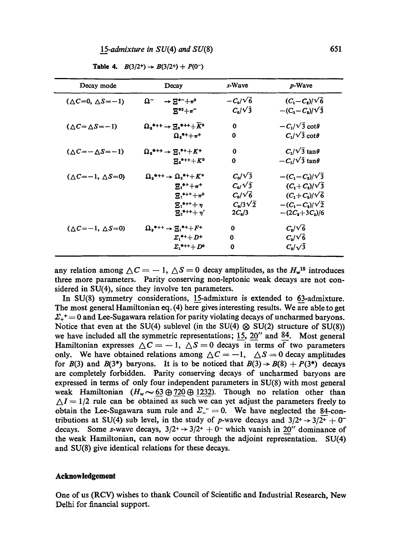| Decay mode                        | Decay                                                                | s-Wave          | p-Wave                     |
|-----------------------------------|----------------------------------------------------------------------|-----------------|----------------------------|
| $(\Delta C=0, \Delta S=-1)$       | Ω-<br>$\rightarrow$ $E^{*-}+\pi^0$                                   | $-C_0/\sqrt{6}$ | $(C_1-C_2)/\sqrt{6}$       |
|                                   | $E^{*0} + \pi^-$                                                     | $C_0/\sqrt{3}$  | $-(C_1 - C_2)/\sqrt{3}$    |
| $(\Delta C = \Delta S = -1)$      | $\Omega$ <sub>s</sub> *++ → $\Xi$ <sub>s</sub> *+++ $\overline{K}$ ° | $\bf{0}$        | $-C_1/\sqrt{3} \cot\theta$ |
|                                   | $\Omega_{1}$ *++ $\pi$ +                                             | $\bf{0}$        | $C_1/\sqrt{3} \cot \theta$ |
| $(\triangle C=-\triangle S=-1)$   | $\Omega_{3}$ *++ $\rightarrow$ $\Sigma_{3}$ *++K+                    | $\bf{0}$        | $C_1/\sqrt{3} \tan \theta$ |
|                                   | $E_{2}$ *+++ $K^{0}$                                                 | 0               | $-C_1/\sqrt{3} \tan\theta$ |
| $(\triangle C=-1, \triangle S=0)$ | $\Omega_{3}$ *++ $\rightarrow \Omega_{2}$ *++K+                      | $C_0/\sqrt{3}$  | $-(C_1 - C_2)/\sqrt{3}$    |
|                                   | $E_{3}$ **+ $\pi$ *                                                  | $C_0/\sqrt{3}$  | $(C_1+C_2)/\sqrt{3}$       |
|                                   | $E_1$ *+++ $\pi$ °                                                   | $C_0/\sqrt{6}$  | $(C_1+C_2)/\sqrt{6}$       |
|                                   | $E_{1}$ *+++ $\eta$                                                  | $C_0/3\sqrt{2}$ | $-(C_1-C_2)/\sqrt{2}$      |
|                                   | $\Xi_{2}$ *+++ $\eta'$                                               | $2C_0/3$        | $-(2C_2+3C_3)/6$           |
| $(\Delta C=-1, \Delta S=0)$       | $\Omega_{\rm s}$ *++ $\to \Xi_1$ *++ $F$ +                           | $\bf{0}$        | $C_{3}/\sqrt{6}$           |
|                                   | $\mathbf{\Sigma}_1$ *++ $\mathbf{\Sigma}$ +                          | 0               | $C_{\rm a}/\sqrt{6}$       |
|                                   | $\Sigma_{1}$ *+++ $D^{o}$                                            | 0               | $C_{\rm s}/\sqrt{3}$       |

**Table 4.**  $B(3/2^+) \rightarrow B(3/2^+) + P(0^-)$ 

any relation among  $\Delta C = -1$ ,  $\Delta S = 0$  decay amplitudes, as the  $H_w^{15}$  introduces **three** more parameters. Parity conserving non-leptonic weak decays are not considered in SU(4), since they involve ten parameters.

In SU(8) symmetry considerations, 15-admixture is extended to 63-admixture. The most general Hamiltonian eq. (4) here gives interesting results. We are able to get  $\Sigma_{+}^{\dagger} = 0$  and Lee-Sugawara relation for parity violating decays of uncharmed baryons. Notice that even at the SU(4) sublevel (in the SU(4)  $\otimes$  SU(2) structure of SU(8)) we have included all the symmetric representations;  $15$ ,  $20''$  and  $84$ . Most general Hamiltonian expresses  $\Delta C = -1$ ,  $\Delta S = 0$  decays in terms of two parameters only. We have obtained relations among  $\Delta C = -1$ ,  $\Delta S = 0$  decay amplitudes for  $B(3)$  and  $B(3^*)$  baryons. It is to be noticed that  $B(3) \rightarrow B(8) + P(3^*)$  decays are completely forbidden. Parity conserving decays of uncharmed baryons are expressed in terms of only four independent parameters in SU(8) with most general weak Hamiltonian  $(H_w \sim 63 \oplus 720 \oplus 1232)$ . Though no relation other than  $\Delta I = 1/2$  rule can be obtained as such we can yet adjust the parameters freely to obtain the Lee-Sugawara sum rule and  $\Sigma_{-} = 0$ . We have neglected the 84-contributions at SU(4) sub level, in the study of p-wave decays and  $3/2^+ \rightarrow 3/2^+ + 0^$ decays. Some s-wave decays,  $3/2^+ \rightarrow 3/2^+ + 0^-$  which vanish in 20" dominance of **the** weak Hamiltonian, can now occur through the adjoint representation. SU(4) and SU(8) give identical relations for these decays.

#### **Acknowledgement**

One of us (RCV) wishes to thank Council of Scientific and Industrial Research, New Delhi for financial support.